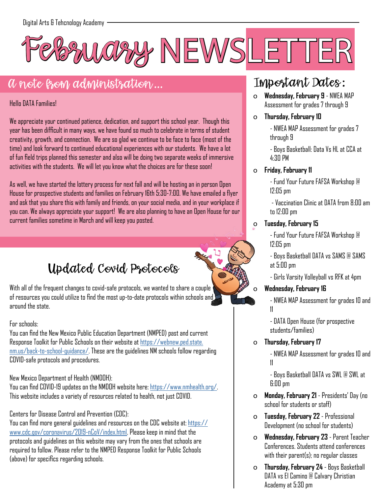

### A note from administration...

#### Hello DATA Families!

We appreciate your continued patience, dedication, and support this school year. Though this year has been difficult in many ways, we have found so much to celebrate in terms of student creativity, growth, and connection. We are so glad we continue to be face to face (most of the time) and look forward to continued educational experiences with our students. We have a lot of fun field trips planned this semester and also will be doing two separate weeks of immersive activities with the students. We will let you know what the choices are for these soon!

As well, we have started the lottery process for next fall and will be hosting an in person Open House for prospective students and families on February 16th 5:30-7:00. We have emailed a flyer and ask that you share this with family and friends, on your social media, and in your workplace if you can. We always appreciate your support! We are also planning to have an Open House for our current families sometime in March and will keep you posted.

Updated Covid Protocols

With all of the frequent changes to covid-safe protocols, we wanted to share a couple of resources you could utilize to find the most up-to-date protocols within schools and around the state.

#### For schools:

You can find the New Mexico Public Education Department (NMPED) past and current Response Toolkit for Public Schools on their website at [https://webnew.ped.state.](https://webnew.ped.state.nm.us/back-to-school-guidance/) [nm.us/back-to-school-guidance/](https://webnew.ped.state.nm.us/back-to-school-guidance/). These are the guidelines NM schools follow regarding COVID-safe protocols and procedures.

#### New Mexico Department of Health (NMDOH):

You can find COVID-19 updates on the NMDOH website here: <https://www.nmhealth.org/>. This website includes a variety of resources related to health, not just COVID.

#### Centers for Disease Control and Prevention (CDC):

You can find more general guidelines and resources on the CDC website at: [https://](https://www.cdc.gov/coronavirus/2019-nCoV/index.html) [www.cdc.gov/coronavirus/2019-nCoV/index.html.](https://www.cdc.gov/coronavirus/2019-nCoV/index.html) Please keep in mind that the protocols and guidelines on this website may vary from the ones that schools are required to follow. Please refer to the NMPED Response Toolkit for Public Schools (above) for specifics regarding schools.

### Important Dates:

- o **Wednesday, February 9**  NWEA MAP Assessment for grades 7 through 9
- o **Thursday, February 10**

- NWEA MAP Assessment for grades 7 through 9

- Boys Basketball: Data Vs HL at CCA at 4:30 PM

#### o **Friday, February 11**

- Fund Your Future FAFSA Workshop @ 12:05 pm

 - Vaccination Clinic at DATA from 8:00 am to 12:00 pm

#### o **Tuesday, February 15**

- Fund Your Future FAFSA Workshop @ 12:05 pm

- Boys Basketball DATA vs SAMS @ SAMS at 5:00 pm
- Girls Varsity Volleyball vs RFK at 4pm

#### o **Wednesday, February 16**

- NWEA MAP Assessment for grades 10 and 11

- DATA Open House (for prospective students/families)

#### o **Thursday, February 17**

- NWEA MAP Assessment for grades 10 and 11

- Boys Basketball DATA vs SWL @ SWL at 6:00 pm

- o **Monday, February 21** Presidents' Day (no school for students or staff)
- o **Tuesday, February 22** Professional Development (no school for students)
- o **Wednesday, February 23** Parent Teacher Conferences. Students attend conferences with their parent(s); no regular classes
- o **Thursday, February 24** Boys Basketball DATA vs El Camino @ Calvary Christian Academy at 5:30 pm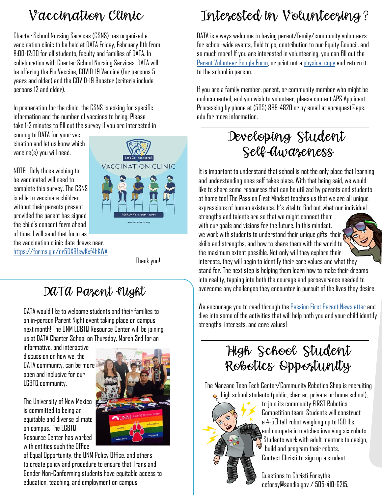# Vaccination Clinic

Charter School Nursing Services (CSNS) has organized a vaccination clinic to be held at DATA Friday, February 11th from 8:00-12:00 for all students, faculty and families of DATA. In collaboration with Charter School Nursing Services, DATA will be offering the Flu Vaccine, COVID-19 Vaccine (for persons 5 years and older) and the COVID-19 Booster (criteria include persons 12 and older).

In preparation for the clinic, the CSNS is asking for specific information and the number of vaccines to bring. Please take 1-2 minutes to fill out the survey if you are interested in

coming to DATA for your vaccination and let us know which vaccine(s) you will need.

NOTE: Only those wishing to be vaccinated will need to complete this survey. The CSNS is able to vaccinate children without their parents present provided the parent has signed the child's consent form ahead of time. I will send that form as

the vaccination clinic date draws near. <https://forms.gle/nr5DX9fswKxf4hKWA>



Thank you!

### DATA Parent Night

DATA would like to welcome students and their families to an in-person Parent Night event taking place on campus next month! The UNM LGBTQ Resource Center will be joining us at DATA Charter School on Thursday, March 3rd for an

informative, and interactive discussion on how we, the DATA community, can be more open and inclusive for our LGBTQ community.

The University of New Mexico is committed to being an equitable and diverse climate on campus. The LGBTQ Resource Center has worked with entities such the Office



of Equal Opportunity, the UNM Policy Office, and others to create policy and procedure to ensure that Trans and Gender Non-Conforming students have equitable access to education, teaching, and employment on campus.

# Interested in Volunteering?

DATA is always welcome to having parent/family/community volunteers for school-wide events, field trips, contribution to our Equity Council, and so much more! If you are interested in volunteering, you can fill out the [Parent Volunteer Google Form](https://docs.google.com/forms/d/e/1FAIpQLSfCuqEbQob7ZbD1UOfNKqp6lelzhSiMefRVKvhj5lY98qTk6w/viewform?usp=sf_link), or print out a [physical copy](https://docs.google.com/document/d/1kyBX653RY3qbKiht46LTihq0brcO8emAkHvgU_X7Zhs/edit?usp=sharing) and return it to the school in person.

If you are a family member, parent, or community member who might be undocumented, and you wish to volunteer, please contact APS Applicant Processing by phone at (505) 889-4820 or by email at aprequest@aps. edu for more information.

### Developing Student Self-Awareness

It is important to understand that school is not the only place that learning and understanding ones self takes place. With that being said, we would like to share some resources that can be utilized by parents and students at home too! The Passion First Mindset teaches us that we are all unique expressions of human existence. It's vital to find out what our individual strengths and talents are so that we might connect them with our goals and visions for the future. In this mindset, we work with students to understand their unique gifts, their skills and strengths, and how to share them with the world to the maximum extent possible. Not only will they explore their interests, they will begin to identify their core values and what they stand for. The next step is helping them learn how to make their dreams into reality, tapping into both the courage and perseverance needed to overcome any challenges they encounter in pursuit of the lives they desire.

We encourage you to read through the [Passion First Parent Newsletter](https://www.7mindsetsportal.com/wp-content/uploads/2018/01/Parent_Zone/NewsLetters/English/Parent-Newsletter-Passion-First.pdf) and dive into some of the activities that will help both you and your child identify strengths, interests, and core values!

### High School Student Robotics Opportunity

The Manzano Teen Tech Center/Community Robotics Shop is recruiting high school students (public, charter, private or home school),

 to join its community FIRST Robotics Competition team. Students will construct  $a$  4-50 tall robot weighing up to 150 lbs. and compete in matches involving six robots. Students work with adult mentors to design, build and program their robots. Contact Christi to sign up a student.

 Questions to Christi Forsythe ccforsy@sandia.gov / 505-410-6215.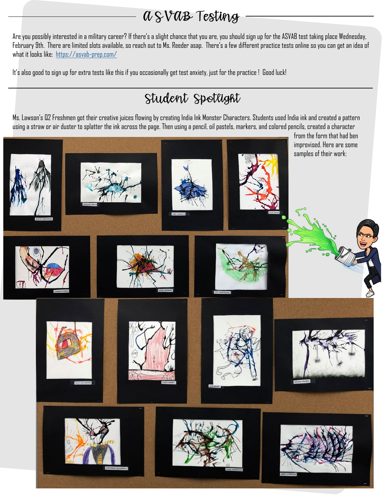### ASVAB Testing

Are you possibly interested in a military career? If there's a slight chance that you are, you should sign up for the ASVAB test taking place Wednesday, February 9th. There are limited slots available, so reach out to Ms. Reeder asap. There's a few different practice tests online so you can get an idea of what it looks like: <https://asvab-prep.com/>

It's also good to sign up for extra tests like this if you occasionally get test anxiety, just for the practice ! Good luck!

## Student Spotlight

Ms. Lawson's Q2 Freshmen got their creative juices flowing by creating India Ink Monster Characters. Students used India ink and created a pattern using a straw or air duster to splatter the ink across the page. Then using a pencil, oil pastels, markers, and colored pencils, created a character